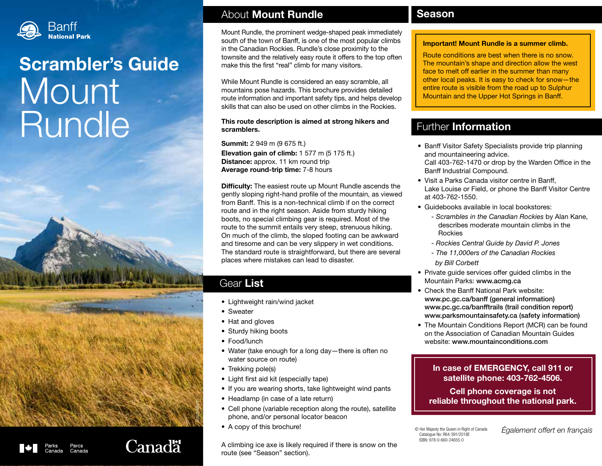

# Scrambler's Guide **Mount** Rundle



### About Mount Rundle

Mount Rundle, the prominent wedge-shaped peak immediately south of the town of Banff, is one of the most popular climbs in the Canadian Rockies. Rundle's close proximity to the townsite and the relatively easy route it offers to the top often make this the first "real" climb for many visitors.

While Mount Rundle is considered an easy scramble, all mountains pose hazards. This brochure provides detailed route information and important safety tips, and helps develop skills that can also be used on other climbs in the Rockies.

#### This route description is aimed at strong hikers and scramblers.

Summit: 2 949 m (9 675 ft.) Elevation gain of climb: 1 577 m (5 175 ft.) Distance: approx. 11 km round trip Average round-trip time: 7-8 hours

**Difficulty:** The easiest route up Mount Rundle ascends the gently sloping right-hand profile of the mountain, as viewed from Banff. This is a non-technical climb if on the correct route and in the right season. Aside from sturdy hiking boots, no special climbing gear is required. Most of the route to the summit entails very steep, strenuous hiking. On much of the climb, the sloped footing can be awkward and tiresome and can be very slippery in wet conditions. The standard route is straightforward, but there are several places where mistakes can lead to disaster.

### Gear List

- Lightweight rain/wind jacket
- Sweater
- Hat and gloves
- Sturdy hiking boots
- Food/lunch
- Water (take enough for a long day—there is often no water source on route)
- Trekking pole(s)
- Light first aid kit (especially tape)
- If you are wearing shorts, take lightweight wind pants
- Headlamp (in case of a late return)
- Cell phone (variable reception along the route), satellite phone, and/or personal locator beacon
- A copy of this brochure!

A climbing ice axe is likely required if there is snow on the route (see "Season" section).

### Season

#### Important! Mount Rundle is a summer climb.

Route conditions are best when there is no snow. The mountain's shape and direction allow the west face to melt off earlier in the summer than many other local peaks. It is easy to check for snow—the entire route is visible from the road up to Sulphur Mountain and the Upper Hot Springs in Banff.

# Further Information

- Banff Visitor Safety Specialists provide trip planning and mountaineering advice. Call 403-762-1470 or drop by the Warden Office in the Banff Industrial Compound.
- Visit a Parks Canada visitor centre in Banff, Lake Louise or Field, or phone the Banff Visitor Centre at 403-762-1550.
- Guidebooks available in local bookstores:
	- *Scrambles in the Canadian Rockies* by Alan Kane, describes moderate mountain climbs in the Rockies
	- *Rockies Central Guide by David P. Jones*
	- *The 11,000ers of the Canadian Rockies by Bill Corbett*
- Private guide services offer guided climbs in the Mountain Parks: www.acmg.ca
- Check the Banff National Park website: www.pc.gc.ca/banff (general information) www.pc.gc.ca/banfftrails (trail condition report) www.parksmountainsafety.ca (safety information)
- The Mountain Conditions Report (MCR) can be found on the Association of Canadian Mountain Guides website: www.mountainconditions.com

### In case of EMERGENCY, call 911 or satellite phone: 403-762-4506.

Cell phone coverage is not reliable throughout the national park.

© Her Majesty the Queen in Right of Canada Catalogue No: R64-391/2018E ISBN: 978-0-660-24655-0

*Également offert en français*

*Scott Munn*

**Canada**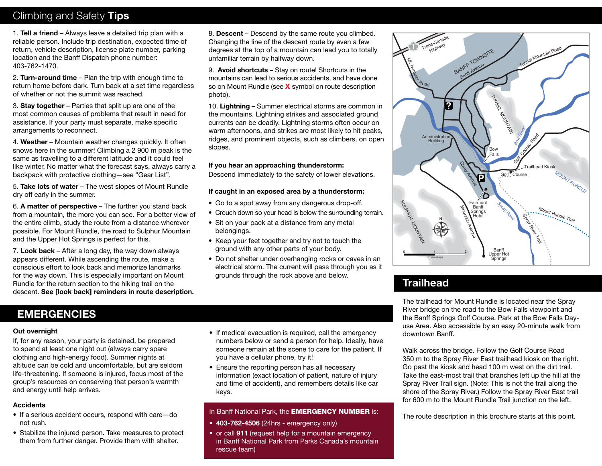### Climbing and Safety Tips

1. Tell a friend – Always leave a detailed trip plan with a reliable person. Include trip destination, expected time of return, vehicle description, license plate number, parking location and the Banff Dispatch phone number: 403-762-1470.

2. Turn-around time – Plan the trip with enough time to return home before dark. Turn back at a set time regardless of whether or not the summit was reached.

3. Stay together – Parties that split up are one of the most common causes of problems that result in need for assistance. If your party must separate, make specific arrangements to reconnect.

4. Weather – Mountain weather changes quickly. It often snows here in the summer! Climbing a 2 900 m peak is the same as travelling to a different latitude and it could feel like winter. No matter what the forecast says, always carry a backpack with protective clothing—see "Gear List".

5. Take lots of water – The west slopes of Mount Rundle dry off early in the summer.

6. A matter of perspective – The further you stand back from a mountain, the more you can see. For a better view of the entire climb, study the route from a distance wherever possible. For Mount Rundle, the road to Sulphur Mountain and the Upper Hot Springs is perfect for this.

7. Look back – After a long day, the way down always appears different. While ascending the route, make a conscious effort to look back and memorize landmarks for the way down. This is especially important on Mount Rundle for the return section to the hiking trail on the descent. See [look back] reminders in route description.

8. **Descent** – Descend by the same route you climbed. Changing the line of the descent route by even a few degrees at the top of a mountain can lead you to totally unfamiliar terrain by halfway down.

9. Avoid shortcuts - Stay on route! Shortcuts in the mountains can lead to serious accidents, and have done so on Mount Rundle (see  $X$  symbol on route description photo).

10. Lightning – Summer electrical storms are common in the mountains. Lightning strikes and associated ground currents can be deadly. Lightning storms often occur on warm afternoons, and strikes are most likely to hit peaks, ridges, and prominent objects, such as climbers, on open slopes.

#### If you hear an approaching thunderstorm:

Descend immediately to the safety of lower elevations.

#### If caught in an exposed area by a thunderstorm:

- Go to a spot away from any dangerous drop-off.
- Crouch down so your head is below the surrounding terrain.
- Sit on your pack at a distance from any metal belongings.
- Keep your feet together and try not to touch the ground with any other parts of your body.
- Do not shelter under overhanging rocks or caves in an electrical storm. The current will pass through you as it grounds through the rock above and below.

### **EMERGENCIES**

#### Out overnight

If, for any reason, your party is detained, be prepared to spend at least one night out (always carry spare clothing and high-energy food). Summer nights at altitude can be cold and uncomfortable, but are seldom life-threatening. If someone is injured, focus most of the group's resources on conserving that person's warmth and energy until help arrives.

#### **Accidents**

- If a serious accident occurs, respond with care—do not rush.
- Stabilize the injured person. Take measures to protect them from further danger. Provide them with shelter.
- If medical evacuation is required, call the emergency numbers below or send a person for help. Ideally, have someone remain at the scene to care for the patient. If you have a cellular phone, try it!
- Ensure the reporting person has all necessary information (exact location of patient, nature of injury and time of accident), and remembers details like car keys.

#### In Banff National Park, the **EMERGENCY NUMBER** is:

- 403-762-4506 (24hrs emergency only)
- or call 911 (request help for a mountain emergency in Banff National Park from Parks Canada's mountain rescue team)



## **Trailhead**

The trailhead for Mount Rundle is located near the Spray River bridge on the road to the Bow Falls viewpoint and the Banff Springs Golf Course. Park at the Bow Falls Dayuse Area. Also accessible by an easy 20-minute walk from downtown Banff.

Walk across the bridge. Follow the Golf Course Road 350 m to the Spray River East trailhead kiosk on the right. Go past the kiosk and head 100 m west on the dirt trail. Take the east-most trail that branches left up the hill at the Spray River Trail sign. (Note: This is not the trail along the shore of the Spray River.) Follow the Spray River East trail for 600 m to the Mount Rundle Trail junction on the left.

The route description in this brochure starts at this point.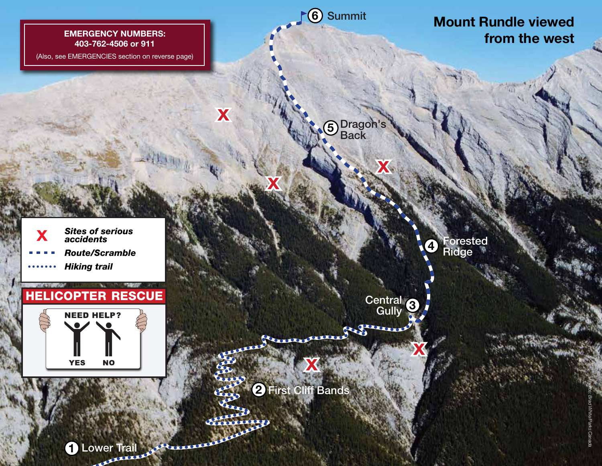